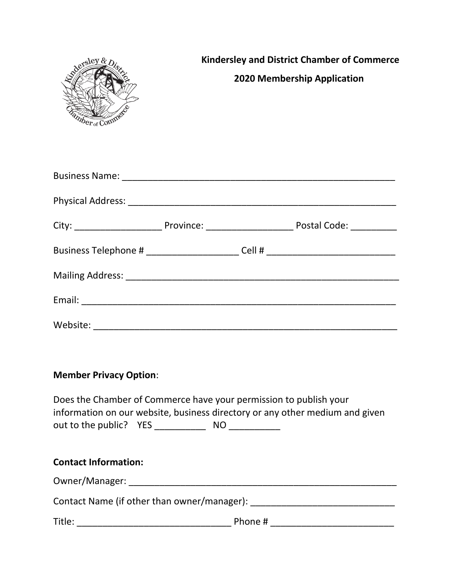| Where Comme                   | <b>Kindersley and District Chamber of Commerce</b><br><b>2020 Membership Application</b>                                                          |
|-------------------------------|---------------------------------------------------------------------------------------------------------------------------------------------------|
|                               |                                                                                                                                                   |
|                               |                                                                                                                                                   |
|                               |                                                                                                                                                   |
|                               | Business Telephone # _________________________Cell # ___________________________                                                                  |
|                               |                                                                                                                                                   |
|                               |                                                                                                                                                   |
|                               |                                                                                                                                                   |
| <b>Member Privacy Option:</b> | Does the Chamber of Commerce have your permission to publish your<br>information on our website, business directory or any other medium and given |
| <b>Contact Information:</b>   |                                                                                                                                                   |
|                               |                                                                                                                                                   |
|                               |                                                                                                                                                   |
|                               |                                                                                                                                                   |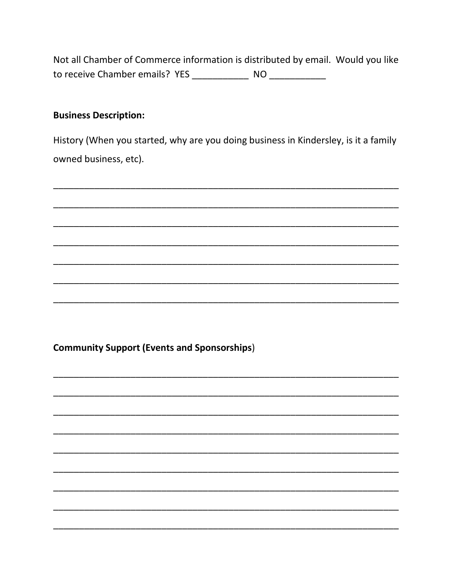Not all Chamber of Commerce information is distributed by email. Would you like to receive Chamber emails? YES \_\_\_\_\_\_\_\_\_\_\_\_\_\_\_\_\_ NO \_\_\_\_\_\_\_\_\_\_\_\_\_

# **Business Description:**

History (When you started, why are you doing business in Kindersley, is it a family owned business, etc).

**Community Support (Events and Sponsorships)**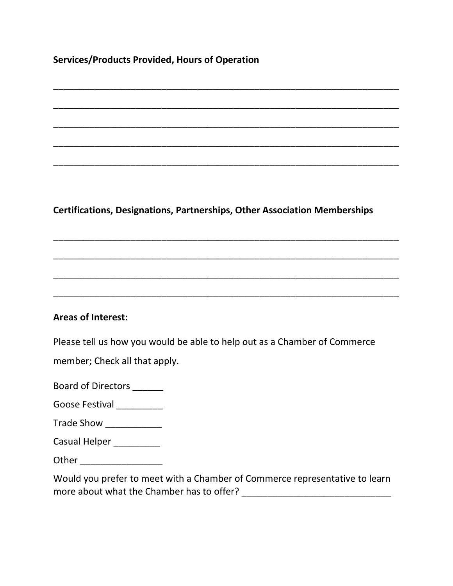**Services/Products Provided, Hours of Operation**

**Certifications, Designations, Partnerships, Other Association Memberships**

\_\_\_\_\_\_\_\_\_\_\_\_\_\_\_\_\_\_\_\_\_\_\_\_\_\_\_\_\_\_\_\_\_\_\_\_\_\_\_\_\_\_\_\_\_\_\_\_\_\_\_\_\_\_\_\_\_\_\_\_\_\_\_\_\_\_\_

\_\_\_\_\_\_\_\_\_\_\_\_\_\_\_\_\_\_\_\_\_\_\_\_\_\_\_\_\_\_\_\_\_\_\_\_\_\_\_\_\_\_\_\_\_\_\_\_\_\_\_\_\_\_\_\_\_\_\_\_\_\_\_\_\_\_\_

\_\_\_\_\_\_\_\_\_\_\_\_\_\_\_\_\_\_\_\_\_\_\_\_\_\_\_\_\_\_\_\_\_\_\_\_\_\_\_\_\_\_\_\_\_\_\_\_\_\_\_\_\_\_\_\_\_\_\_\_\_\_\_\_\_\_\_

\_\_\_\_\_\_\_\_\_\_\_\_\_\_\_\_\_\_\_\_\_\_\_\_\_\_\_\_\_\_\_\_\_\_\_\_\_\_\_\_\_\_\_\_\_\_\_\_\_\_\_\_\_\_\_\_\_\_\_\_\_\_\_\_\_\_\_

\_\_\_\_\_\_\_\_\_\_\_\_\_\_\_\_\_\_\_\_\_\_\_\_\_\_\_\_\_\_\_\_\_\_\_\_\_\_\_\_\_\_\_\_\_\_\_\_\_\_\_\_\_\_\_\_\_\_\_\_\_\_\_\_\_\_\_

\_\_\_\_\_\_\_\_\_\_\_\_\_\_\_\_\_\_\_\_\_\_\_\_\_\_\_\_\_\_\_\_\_\_\_\_\_\_\_\_\_\_\_\_\_\_\_\_\_\_\_\_\_\_\_\_\_\_\_\_\_\_\_\_\_\_\_

\_\_\_\_\_\_\_\_\_\_\_\_\_\_\_\_\_\_\_\_\_\_\_\_\_\_\_\_\_\_\_\_\_\_\_\_\_\_\_\_\_\_\_\_\_\_\_\_\_\_\_\_\_\_\_\_\_\_\_\_\_\_\_\_\_\_\_

\_\_\_\_\_\_\_\_\_\_\_\_\_\_\_\_\_\_\_\_\_\_\_\_\_\_\_\_\_\_\_\_\_\_\_\_\_\_\_\_\_\_\_\_\_\_\_\_\_\_\_\_\_\_\_\_\_\_\_\_\_\_\_\_\_\_\_

\_\_\_\_\_\_\_\_\_\_\_\_\_\_\_\_\_\_\_\_\_\_\_\_\_\_\_\_\_\_\_\_\_\_\_\_\_\_\_\_\_\_\_\_\_\_\_\_\_\_\_\_\_\_\_\_\_\_\_\_\_\_\_\_\_\_\_

# **Areas of Interest:**

Please tell us how you would be able to help out as a Chamber of Commerce

member; Check all that apply.

Board of Directors \_\_\_\_\_\_

Goose Festival \_\_\_\_\_\_\_\_\_

- Trade Show \_\_\_\_\_\_\_\_\_\_\_
- Casual Helper \_\_\_\_\_\_\_\_\_\_

Other  $\Box$ 

Would you prefer to meet with a Chamber of Commerce representative to learn more about what the Chamber has to offer? \_\_\_\_\_\_\_\_\_\_\_\_\_\_\_\_\_\_\_\_\_\_\_\_\_\_\_\_\_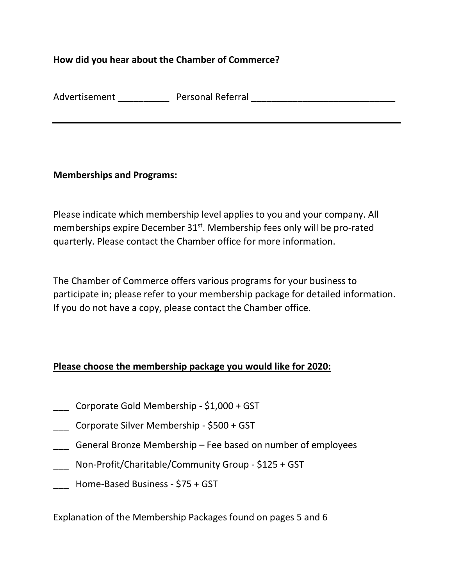# **How did you hear about the Chamber of Commerce?**

| Advertisement | <b>Personal Referral</b> |
|---------------|--------------------------|
|---------------|--------------------------|

#### **Memberships and Programs:**

Please indicate which membership level applies to you and your company. All memberships expire December 31<sup>st</sup>. Membership fees only will be pro-rated quarterly. Please contact the Chamber office for more information.

The Chamber of Commerce offers various programs for your business to participate in; please refer to your membership package for detailed information. If you do not have a copy, please contact the Chamber office.

# **Please choose the membership package you would like for 2020:**

- \_\_\_ Corporate Gold Membership \$1,000 + GST
- \_\_\_ Corporate Silver Membership \$500 + GST
- General Bronze Membership Fee based on number of employees
- Non-Profit/Charitable/Community Group \$125 + GST
- \_\_\_ Home-Based Business \$75 + GST

Explanation of the Membership Packages found on pages 5 and 6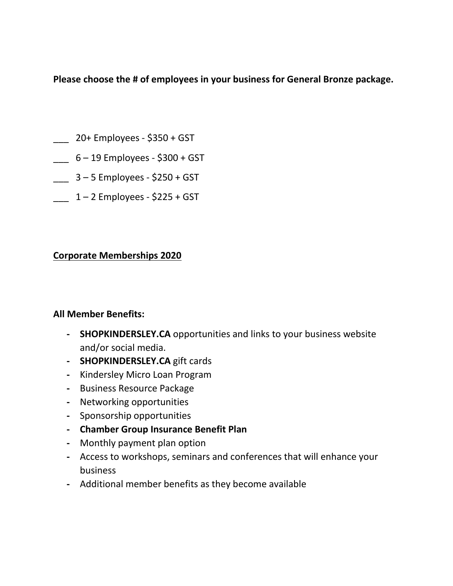**Please choose the # of employees in your business for General Bronze package.**

- \_\_\_ 20+ Employees \$350 + GST
- $-$  6 19 Employees \$300 + GST
- \_\_\_ 3 5 Employees \$250 + GST
- $1 2$  Employees \$225 + GST

# **Corporate Memberships 2020**

# **All Member Benefits:**

- **- SHOPKINDERSLEY.CA** opportunities and links to your business website and/or social media.
- **- SHOPKINDERSLEY.CA** gift cards
- **-** Kindersley Micro Loan Program
- **-** Business Resource Package
- **-** Networking opportunities
- **-** Sponsorship opportunities
- **- Chamber Group Insurance Benefit Plan**
- **-** Monthly payment plan option
- **-** Access to workshops, seminars and conferences that will enhance your business
- **-** Additional member benefits as they become available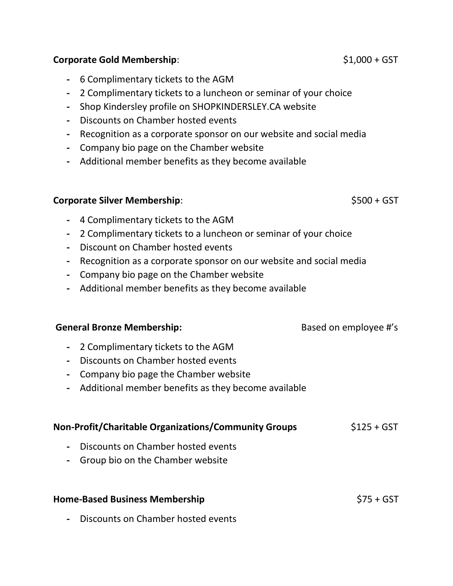### **Corporate Gold Membership**:  $$1,000 + GST$$

- **-** 6 Complimentary tickets to the AGM
- **-** 2 Complimentary tickets to a luncheon or seminar of your choice
- **-** Shop Kindersley profile on SHOPKINDERSLEY.CA website
- **-** Discounts on Chamber hosted events
- **-** Recognition as a corporate sponsor on our website and social media
- **-** Company bio page on the Chamber website
- **-** Additional member benefits as they become available

### **Corporate Silver Membership**:  $$500 + GST$$

- **-** 4 Complimentary tickets to the AGM
- **-** 2 Complimentary tickets to a luncheon or seminar of your choice
- **-** Discount on Chamber hosted events
- **-** Recognition as a corporate sponsor on our website and social media
- **-** Company bio page on the Chamber website
- **-** Additional member benefits as they become available

#### **General Bronze Membership: Based on employee #'s**

- **-** 2 Complimentary tickets to the AGM
- **-** Discounts on Chamber hosted events
- **-** Company bio page the Chamber website
- **-** Additional member benefits as they become available

# **Non-Profit/Charitable Organizations/Community Groups**  $$125 + GST$

- **-** Discounts on Chamber hosted events
- **-** Group bio on the Chamber website

#### **Home-Based Business Membership**   $$75 + 6ST$

**-** Discounts on Chamber hosted events